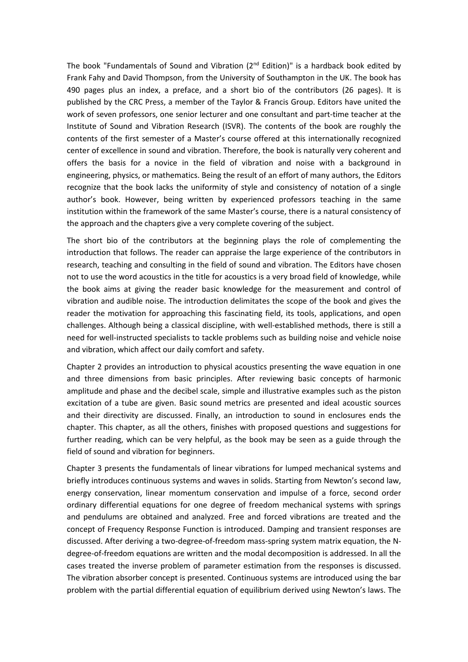The book "Fundamentals of Sound and Vibration (2nd Edition)" is a hardback book edited by Frank Fahy and David Thompson, from the University of Southampton in the UK. The book has 490 pages plus an index, a preface, and a short bio of the contributors (26 pages). It is published by the CRC Press, a member of the Taylor & Francis Group. Editors have united the work of seven professors, one senior lecturer and one consultant and part-time teacher at the Institute of Sound and Vibration Research (ISVR). The contents of the book are roughly the contents of the first semester of a Master's course offered at this internationally recognized center of excellence in sound and vibration. Therefore, the book is naturally very coherent and offers the basis for a novice in the field of vibration and noise with a background in engineering, physics, or mathematics. Being the result of an effort of many authors, the Editors recognize that the book lacks the uniformity of style and consistency of notation of a single author's book. However, being written by experienced professors teaching in the same institution within the framework of the same Master's course, there is a natural consistency of the approach and the chapters give a very complete covering of the subject.

The short bio of the contributors at the beginning plays the role of complementing the introduction that follows. The reader can appraise the large experience of the contributors in research, teaching and consulting in the field of sound and vibration. The Editors have chosen not to use the word acoustics in the title for acoustics is a very broad field of knowledge, while the book aims at giving the reader basic knowledge for the measurement and control of vibration and audible noise. The introduction delimitates the scope of the book and gives the reader the motivation for approaching this fascinating field, its tools, applications, and open challenges. Although being a classical discipline, with well-established methods, there is still a need for well-instructed specialists to tackle problems such as building noise and vehicle noise and vibration, which affect our daily comfort and safety.

Chapter 2 provides an introduction to physical acoustics presenting the wave equation in one and three dimensions from basic principles. After reviewing basic concepts of harmonic amplitude and phase and the decibel scale, simple and illustrative examples such as the piston excitation of a tube are given. Basic sound metrics are presented and ideal acoustic sources and their directivity are discussed. Finally, an introduction to sound in enclosures ends the chapter. This chapter, as all the others, finishes with proposed questions and suggestions for further reading, which can be very helpful, as the book may be seen as a guide through the field of sound and vibration for beginners.

Chapter 3 presents the fundamentals of linear vibrations for lumped mechanical systems and briefly introduces continuous systems and waves in solids. Starting from Newton's second law, energy conservation, linear momentum conservation and impulse of a force, second order ordinary differential equations for one degree of freedom mechanical systems with springs and pendulums are obtained and analyzed. Free and forced vibrations are treated and the concept of Frequency Response Function is introduced. Damping and transient responses are discussed. After deriving a two-degree-of-freedom mass-spring system matrix equation, the Ndegree-of-freedom equations are written and the modal decomposition is addressed. In all the cases treated the inverse problem of parameter estimation from the responses is discussed. The vibration absorber concept is presented. Continuous systems are introduced using the bar problem with the partial differential equation of equilibrium derived using Newton's laws. The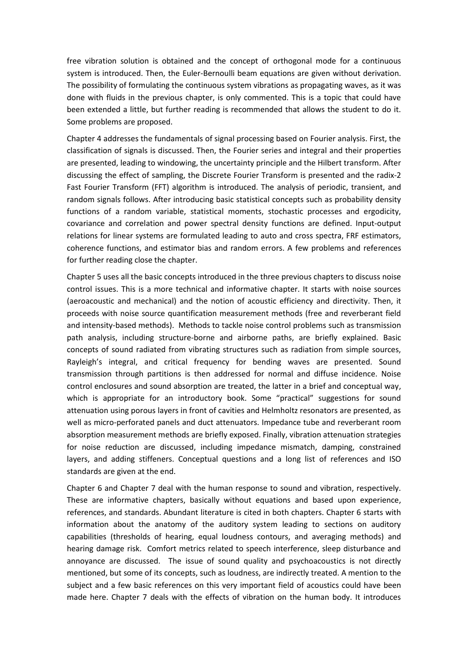free vibration solution is obtained and the concept of orthogonal mode for a continuous system is introduced. Then, the Euler-Bernoulli beam equations are given without derivation. The possibility of formulating the continuous system vibrations as propagating waves, as it was done with fluids in the previous chapter, is only commented. This is a topic that could have been extended a little, but further reading is recommended that allows the student to do it. Some problems are proposed.

Chapter 4 addresses the fundamentals of signal processing based on Fourier analysis. First, the classification of signals is discussed. Then, the Fourier series and integral and their properties are presented, leading to windowing, the uncertainty principle and the Hilbert transform. After discussing the effect of sampling, the Discrete Fourier Transform is presented and the radix-2 Fast Fourier Transform (FFT) algorithm is introduced. The analysis of periodic, transient, and random signals follows. After introducing basic statistical concepts such as probability density functions of a random variable, statistical moments, stochastic processes and ergodicity, covariance and correlation and power spectral density functions are defined. Input-output relations for linear systems are formulated leading to auto and cross spectra, FRF estimators, coherence functions, and estimator bias and random errors. A few problems and references for further reading close the chapter.

Chapter 5 uses all the basic concepts introduced in the three previous chapters to discuss noise control issues. This is a more technical and informative chapter. It starts with noise sources (aeroacoustic and mechanical) and the notion of acoustic efficiency and directivity. Then, it proceeds with noise source quantification measurement methods (free and reverberant field and intensity-based methods). Methods to tackle noise control problems such as transmission path analysis, including structure-borne and airborne paths, are briefly explained. Basic concepts of sound radiated from vibrating structures such as radiation from simple sources, Rayleigh's integral, and critical frequency for bending waves are presented. Sound transmission through partitions is then addressed for normal and diffuse incidence. Noise control enclosures and sound absorption are treated, the latter in a brief and conceptual way, which is appropriate for an introductory book. Some "practical" suggestions for sound attenuation using porous layers in front of cavities and Helmholtz resonators are presented, as well as micro-perforated panels and duct attenuators. Impedance tube and reverberant room absorption measurement methods are briefly exposed. Finally, vibration attenuation strategies for noise reduction are discussed, including impedance mismatch, damping, constrained layers, and adding stiffeners. Conceptual questions and a long list of references and ISO standards are given at the end.

Chapter 6 and Chapter 7 deal with the human response to sound and vibration, respectively. These are informative chapters, basically without equations and based upon experience, references, and standards. Abundant literature is cited in both chapters. Chapter 6 starts with information about the anatomy of the auditory system leading to sections on auditory capabilities (thresholds of hearing, equal loudness contours, and averaging methods) and hearing damage risk. Comfort metrics related to speech interference, sleep disturbance and annoyance are discussed. The issue of sound quality and psychoacoustics is not directly mentioned, but some of its concepts, such as loudness, are indirectly treated. A mention to the subject and a few basic references on this very important field of acoustics could have been made here. Chapter 7 deals with the effects of vibration on the human body. It introduces